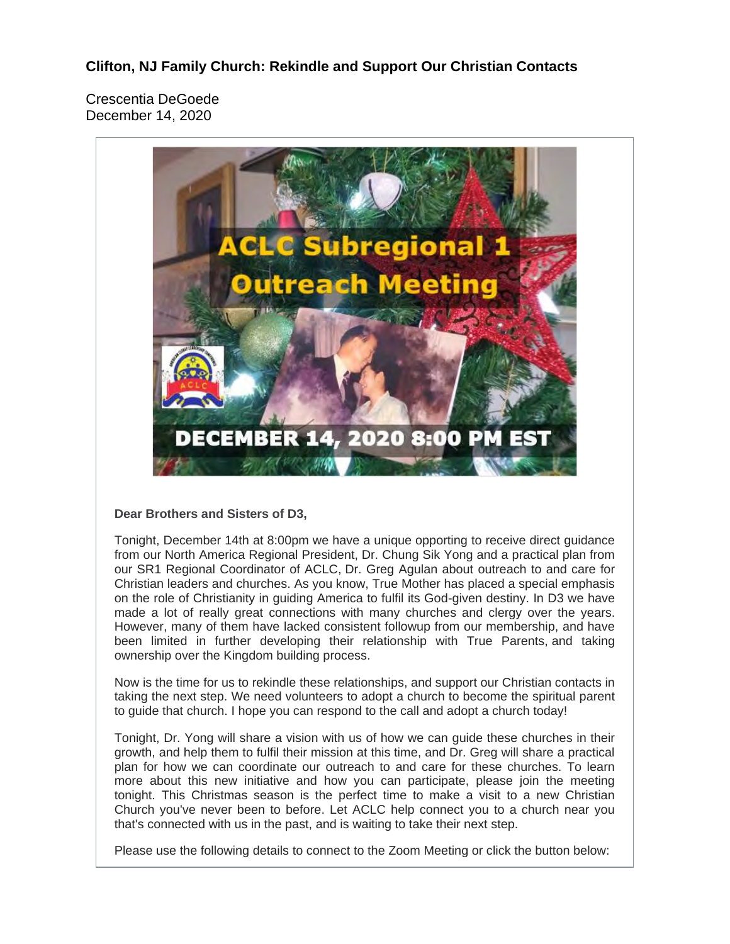**Clifton, NJ Family Church: Rekindle and Support Our Christian Contacts**

Crescentia DeGoede December 14, 2020



## **Dear Brothers and Sisters of D3,**

Tonight, December 14th at 8:00pm we have a unique opporting to receive direct guidance from our North America Regional President, Dr. Chung Sik Yong and a practical plan from our SR1 Regional Coordinator of ACLC, Dr. Greg Agulan about outreach to and care for Christian leaders and churches. As you know, True Mother has placed a special emphasis on the role of Christianity in guiding America to fulfil its God-given destiny. In D3 we have made a lot of really great connections with many churches and clergy over the years. However, many of them have lacked consistent followup from our membership, and have been limited in further developing their relationship with True Parents, and taking ownership over the Kingdom building process.

Now is the time for us to rekindle these relationships, and support our Christian contacts in taking the next step. We need volunteers to adopt a church to become the spiritual parent to guide that church. I hope you can respond to the call and adopt a church today!

Tonight, Dr. Yong will share a vision with us of how we can guide these churches in their growth, and help them to fulfil their mission at this time, and Dr. Greg will share a practical plan for how we can coordinate our outreach to and care for these churches. To learn more about this new initiative and how you can participate, please join the meeting tonight. This Christmas season is the perfect time to make a visit to a new Christian Church you've never been to before. Let ACLC help connect you to a church near you that's connected with us in the past, and is waiting to take their next step.

Please use the following details to connect to the Zoom Meeting or click the button below: